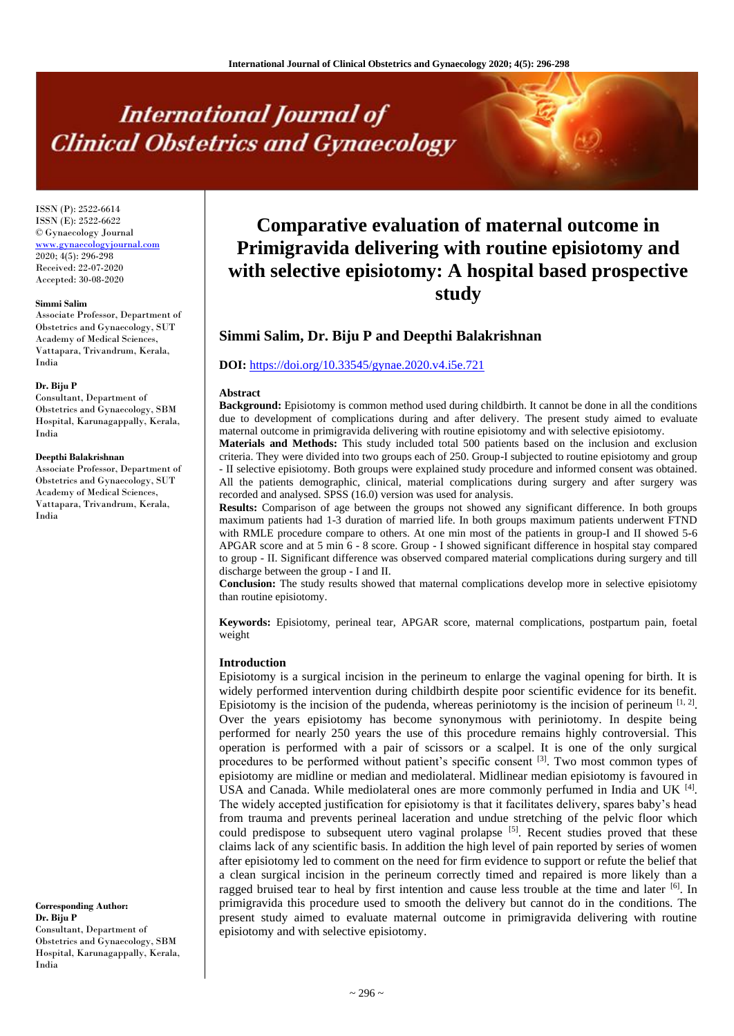# **International Journal of Clinical Obstetrics and Gynaecology**

ISSN (P): 2522-6614 ISSN (E): 2522-6622 © Gynaecology Journal [www.gynaecologyjournal.com](http://www.gynaecologyjournal.com/) 2020; 4(5): 296-298 Received: 22-07-2020 Accepted: 30-08-2020

#### **Simmi Salim**

Associate Professor, Department of Obstetrics and Gynaecology, SUT Academy of Medical Sciences, Vattapara, Trivandrum, Kerala, India

#### **Dr. Biju P**

Consultant, Department of Obstetrics and Gynaecology, SBM Hospital, Karunagappally, Kerala, India

#### **Deepthi Balakrishnan**

Associate Professor, Department of Obstetrics and Gynaecology, SUT Academy of Medical Sciences, Vattapara, Trivandrum, Kerala, India

**Corresponding Author: Dr. Biju P** Consultant, Department of Obstetrics and Gynaecology, SBM Hospital, Karunagappally, Kerala, India

# **Comparative evaluation of maternal outcome in Primigravida delivering with routine episiotomy and with selective episiotomy: A hospital based prospective study**

# **Simmi Salim, Dr. Biju P and Deepthi Balakrishnan**

# **DOI:** <https://doi.org/10.33545/gynae.2020.v4.i5e.721>

#### **Abstract**

**Background:** Episiotomy is common method used during childbirth. It cannot be done in all the conditions due to development of complications during and after delivery. The present study aimed to evaluate maternal outcome in primigravida delivering with routine episiotomy and with selective episiotomy.

**Materials and Methods:** This study included total 500 patients based on the inclusion and exclusion criteria. They were divided into two groups each of 250. Group-I subjected to routine episiotomy and group - II selective episiotomy. Both groups were explained study procedure and informed consent was obtained. All the patients demographic, clinical, material complications during surgery and after surgery was recorded and analysed. SPSS (16.0) version was used for analysis.

**Results:** Comparison of age between the groups not showed any significant difference. In both groups maximum patients had 1-3 duration of married life. In both groups maximum patients underwent FTND with RMLE procedure compare to others. At one min most of the patients in group-I and II showed 5-6 APGAR score and at 5 min 6 - 8 score. Group - I showed significant difference in hospital stay compared to group - II. Significant difference was observed compared material complications during surgery and till discharge between the group - I and II.

**Conclusion:** The study results showed that maternal complications develop more in selective episiotomy than routine episiotomy.

**Keywords:** Episiotomy, perineal tear, APGAR score, maternal complications, postpartum pain, foetal weight

### **Introduction**

Episiotomy is a surgical incision in the perineum to enlarge the vaginal opening for birth. It is widely performed intervention during childbirth despite poor scientific evidence for its benefit. Episiotomy is the incision of the pudenda, whereas periniotomy is the incision of perineum  $[1, 2]$ . Over the years episiotomy has become synonymous with periniotomy. In despite being performed for nearly 250 years the use of this procedure remains highly controversial. This operation is performed with a pair of scissors or a scalpel. It is one of the only surgical procedures to be performed without patient's specific consent <sup>[3]</sup>. Two most common types of episiotomy are midline or median and mediolateral. Midlinear median episiotomy is favoured in USA and Canada. While mediolateral ones are more commonly perfumed in India and UK<sup>[4]</sup>. The widely accepted justification for episiotomy is that it facilitates delivery, spares baby's head from trauma and prevents perineal laceration and undue stretching of the pelvic floor which could predispose to subsequent utero vaginal prolapse  $\left[5\right]$ . Recent studies proved that these claims lack of any scientific basis. In addition the high level of pain reported by series of women after episiotomy led to comment on the need for firm evidence to support or refute the belief that a clean surgical incision in the perineum correctly timed and repaired is more likely than a ragged bruised tear to heal by first intention and cause less trouble at the time and later  $^{[6]}$ . In primigravida this procedure used to smooth the delivery but cannot do in the conditions. The present study aimed to evaluate maternal outcome in primigravida delivering with routine episiotomy and with selective episiotomy.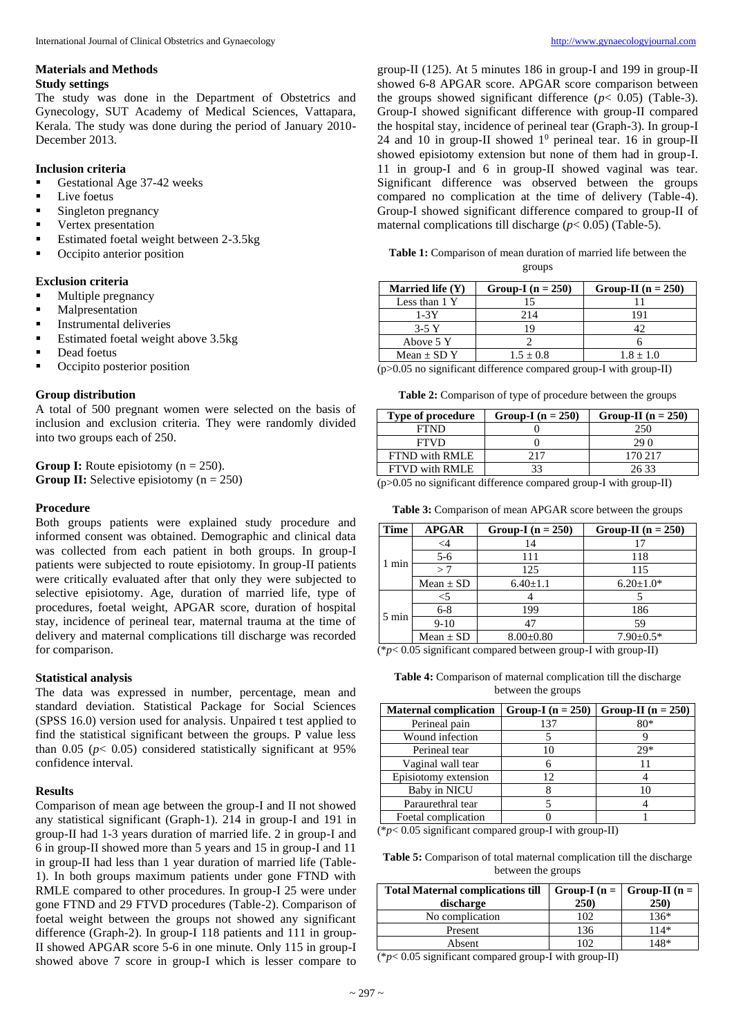# **Materials and Methods**

**Study settings**  The study was done in the Department of Obstetrics and

Gynecology, SUT Academy of Medical Sciences, Vattapara, Kerala. The study was done during the period of January 2010- December 2013.

# **Inclusion criteria**

- Gestational Age 37-42 weeks
- Live foetus
- Singleton pregnancy
- Vertex presentation
- Estimated foetal weight between 2-3.5kg
- Occipito anterior position

# **Exclusion criteria**

- Multiple pregnancy
- Malpresentation
- **■** Instrumental deliveries
- Estimated foetal weight above 3.5kg
- Dead foetus
- Occipito posterior position

# **Group distribution**

A total of 500 pregnant women were selected on the basis of inclusion and exclusion criteria. They were randomly divided into two groups each of 250.

**Group I:** Route episiotomy  $(n = 250)$ . **Group II:** Selective episiotomy  $(n = 250)$ 

# **Procedure**

Both groups patients were explained study procedure and informed consent was obtained. Demographic and clinical data was collected from each patient in both groups. In group-I patients were subjected to route episiotomy. In group-II patients were critically evaluated after that only they were subjected to selective episiotomy. Age, duration of married life, type of procedures, foetal weight, APGAR score, duration of hospital stay, incidence of perineal tear, maternal trauma at the time of delivery and maternal complications till discharge was recorded for comparison.

# **Statistical analysis**

The data was expressed in number, percentage, mean and standard deviation. Statistical Package for Social Sciences (SPSS 16.0) version used for analysis. Unpaired t test applied to find the statistical significant between the groups. P value less than  $0.05$  ( $p < 0.05$ ) considered statistically significant at 95% confidence interval.

# **Results**

Comparison of mean age between the group-I and II not showed any statistical significant (Graph-1). 214 in group-I and 191 in group-II had 1-3 years duration of married life. 2 in group-I and 6 in group-II showed more than 5 years and 15 in group-I and 11 in group-II had less than 1 year duration of married life (Table-1). In both groups maximum patients under gone FTND with RMLE compared to other procedures. In group-I 25 were under gone FTND and 29 FTVD procedures (Table-2). Comparison of foetal weight between the groups not showed any significant difference (Graph-2). In group-I 118 patients and 111 in group-II showed APGAR score 5-6 in one minute. Only 115 in group-I showed above 7 score in group-I which is lesser compare to

group-II (125). At 5 minutes 186 in group-I and 199 in group-II showed 6-8 APGAR score. APGAR score comparison between the groups showed significant difference ( $p < 0.05$ ) (Table-3). Group-I showed significant difference with group-II compared the hospital stay, incidence of perineal tear (Graph-3). In group-I 24 and 10 in group-II showed  $1^0$  perineal tear. 16 in group-II showed episiotomy extension but none of them had in group-I. 11 in group-I and 6 in group-II showed vaginal was tear. Significant difference was observed between the groups compared no complication at the time of delivery (Table-4). Group-I showed significant difference compared to group-II of maternal complications till discharge  $(p< 0.05)$  (Table-5).

**Table 1:** Comparison of mean duration of married life between the groups

| Married life $(Y)$ | Group-I $(n = 250)$ | Group-II ( $n = 250$ ) |
|--------------------|---------------------|------------------------|
| Less than 1 Y      |                     |                        |
| $1-3Y$             | 214                 | 191                    |
| $3-5Y$             |                     |                        |
| Above 5 Y          |                     |                        |
| Mean $\pm$ SD Y    | $1.5 \pm 0.8$       | $1.8 \pm 1.0$          |

(p>0.05 no significant difference compared group-I with group-II)

**Table 2:** Comparison of type of procedure between the groups

| Type of procedure                                                                                                                                                                                                                                                                                                                                           | Group-I $(n = 250)$ | Group-II ( $n = 250$ ) |  |  |
|-------------------------------------------------------------------------------------------------------------------------------------------------------------------------------------------------------------------------------------------------------------------------------------------------------------------------------------------------------------|---------------------|------------------------|--|--|
| <b>FTND</b>                                                                                                                                                                                                                                                                                                                                                 |                     | 250                    |  |  |
| <b>FTVD</b>                                                                                                                                                                                                                                                                                                                                                 |                     | 29 O                   |  |  |
| FTND with RMLE                                                                                                                                                                                                                                                                                                                                              | 217                 | 170 217                |  |  |
| FTVD with RMLE                                                                                                                                                                                                                                                                                                                                              | 33                  | 26 33                  |  |  |
| $\ell$ , $\alpha$ , $\alpha$ , $\alpha$ , $\alpha$ , $\alpha$ , $\alpha$ , $\alpha$ , $\alpha$ , $\alpha$ , $\alpha$ , $\alpha$ , $\alpha$ , $\alpha$ , $\alpha$ , $\alpha$ , $\alpha$ , $\alpha$ , $\alpha$ , $\alpha$ , $\alpha$ , $\alpha$ , $\alpha$ , $\alpha$ , $\alpha$ , $\alpha$ , $\alpha$ , $\alpha$ , $\alpha$ , $\alpha$ , $\alpha$ , $\alpha$ |                     |                        |  |  |

(p>0.05 no significant difference compared group-I with group-II)

**Table 3:** Comparison of mean APGAR score between the groups

| Group-II ( $n = 250$ ) |
|------------------------|
|                        |
|                        |
|                        |
|                        |
|                        |
|                        |
|                        |
|                        |
|                        |

(\**p*< 0.05 significant compared between group-I with group-II)

**Table 4:** Comparison of maternal complication till the discharge between the groups

| <b>Maternal complication</b> | Group-I $(n = 250)$ | Group-II ( $n = 250$ ) |
|------------------------------|---------------------|------------------------|
| Perineal pain                | 137                 | 80*                    |
| Wound infection              |                     |                        |
| Perineal tear                |                     | $29*$                  |
| Vaginal wall tear            |                     |                        |
| Episiotomy extension         | 12                  |                        |
| Baby in NICU                 |                     |                        |
| Paraurethral tear            |                     |                        |
| Foetal complication          |                     |                        |

 $(*p<0.05$  significant compared group-I with group-II)

**Table 5:** Comparison of total maternal complication till the discharge between the groups

| <b>Total Maternal complications till</b><br>discharge | 250) | Group-I ( $n = \vert$ Group-II ( $n = \vert$<br>250) |
|-------------------------------------------------------|------|------------------------------------------------------|
| No complication                                       | 102  | $136*$                                               |
| Present                                               | 136  | $114*$                                               |
| Absent                                                | l O2 | 148*                                                 |

(\**p*< 0.05 significant compared group-I with group-II)